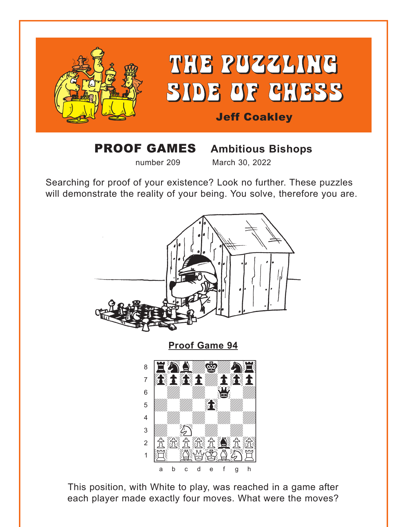<span id="page-0-0"></span>

# **PROOF GAMES** Ambitious Bishops

March 30, 2022

number 209

Searching for proof of your existence? Look no further. These puzzles will demonstrate the reality of your being. You solve, therefore you are.



This position, with White to play, was reached in a game after each player made exactly four moves. What were the moves?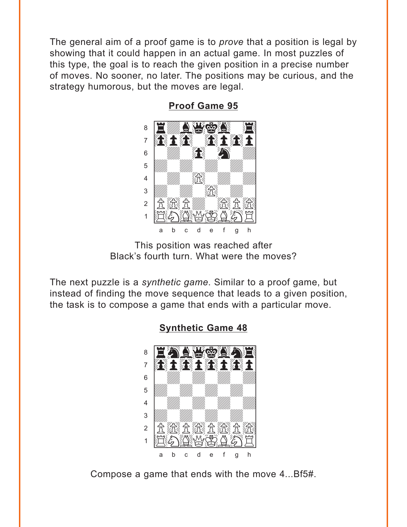<span id="page-1-0"></span>The general aim of a proof game is to *prove* that a position is legal by showing that it could happen in an actual game. In most puzzles of this type, the goal is to reach the given position in a precise number of moves. No sooner, no later. The positions may be curious, and the strategy humorous, but the moves are legal.



**Proof Game 95** 

This position was reached after Black's fourth turn. What were the moves?

The next puzzle is a synthetic game. Similar to a proof game, but instead of finding the move sequence that leads to a given position, the task is to compose a game that ends with a particular move.

> 8 土金土金土金  $\overline{7}$ 6 5  $\overline{4}$ 3 经负载负载负  $\overline{2}$  $\mathbf{1}$  $\ddot{c}$ d h b e q

**Synthetic Game 48** 

Compose a game that ends with the move 4...Bf5#.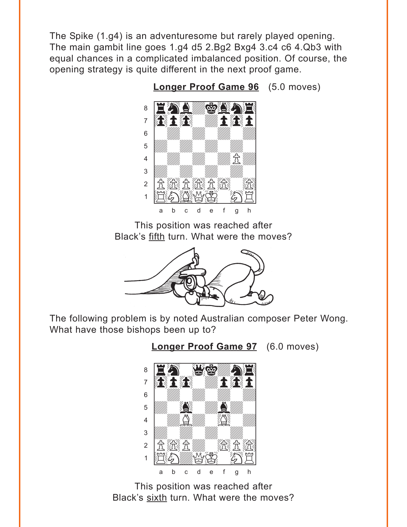<span id="page-2-0"></span>The Spike (1.g4) is an adventuresome but rarely played opening. The main gambit line goes 1.g4 d5 2.Bg2 Bxg4 3.c4 c6 4.Qb3 with equal chances in a complicated imbalanced position. Of course, the opening strategy is quite different in the next proof game.



Longer Proof Game 96 (5.0 moves)

This position was reached after Black's fifth turn. What were the moves?



The following problem is by noted Australian composer Peter Wong. What have those bishops been up to?





This position was reached after Black's sixth turn. What were the moves?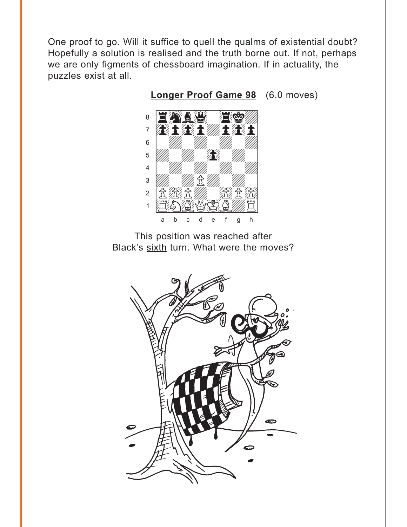<span id="page-3-0"></span>One proof to go. Will it suffice to quell the qualms of existential doubt? Hopefully a solution is realised and the truth borne out. If not, perhaps we are only figments of chessboard imagination. If in actuality, the puzzles exist at all.



**Longer Proof Game 98** (6.0 moves)



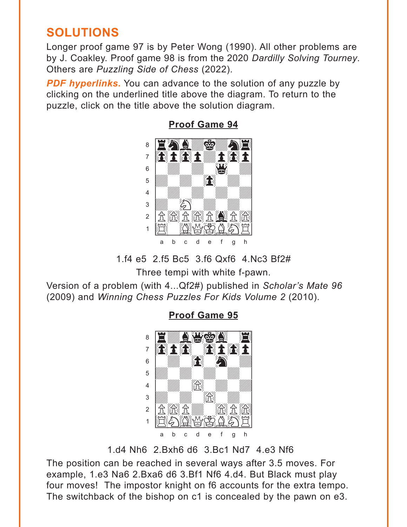# <span id="page-4-0"></span>**SOLUTIONS**

Longer proof game 97 is by Peter Wong (1990). All other problems are by J. Coakley. Proof game 98 is from the 2020 *Dardilly Solving Tourney*. Others are *Puzzling Side of Chess* (2022).

**PDF hyperlinks.** You can advance to the solution of any puzzle by clicking on the underlined title above the diagram. To return to the puzzle, click on the title above the solution diagram.



#### **[Proof Game 94](#page-0-0)**

1.f4 e5 2.f5 Bc5 3.f6 Qxf6 4.Nc3 Bf2#

Three tempi with white f-pawn.

Version of a problem (with 4...Qf2#) published in *Scholar's Mate 96* (2009) and *Winning Chess Puzzles For Kids Volume 2* (2010).



**[Proof Game 95](#page-1-0)**

1.d4 Nh6 2.Bxh6 d6 3.Bc1 Nd7 4.e3 Nf6

The position can be reached in several ways after 3.5 moves. For example, 1.e3 Na6 2.Bxa6 d6 3.Bf1 Nf6 4.d4. But Black must play four moves! The impostor knight on f6 accounts for the extra tempo. The switchback of the bishop on c1 is concealed by the pawn on e3.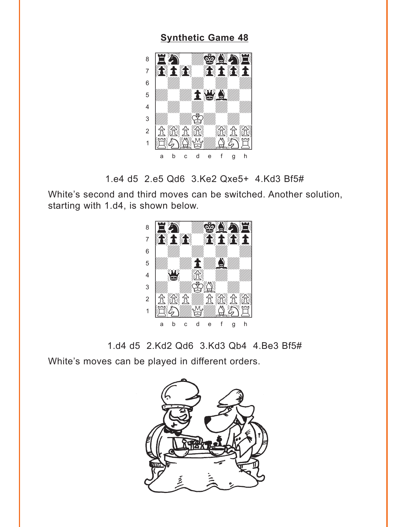### **[Synthetic Game 48](#page-1-0)**

<span id="page-5-0"></span>

1.e4 d5 2.e5 Qd6 3.Ke2 Qxe5+ 4.Kd3 Bf5#

White's second and third moves can be switched. Another solution, starting with 1.d4, is shown below.



1.d4 d5 2.Kd2 Qd6 3.Kd3 Qb4 4.Be3 Bf5#

White's moves can be played in different orders.

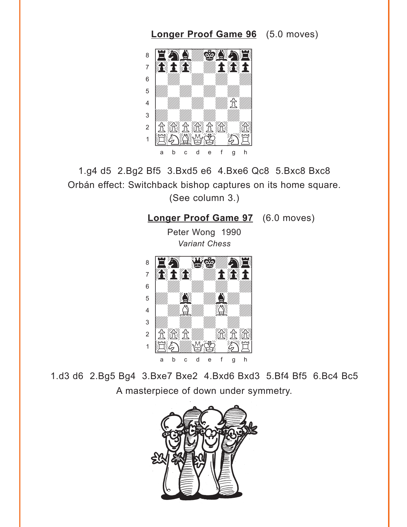## <span id="page-6-0"></span>water and the second control of the second control of the second control of the second control of the second control of the second control of the second control of the second control of the second control of the second con  $\delta$ enthedkonal à0p0wdp0p] 6 | *William William William William William William William William William William William William William William*  $\overline{\mathcal{L}}$  $\frac{1}{2}$   $\frac{1}{2}$   $\frac{1}{2}$   $\frac{1}{2}$   $\frac{1}{2}$   $\frac{1}{2}$   $\frac{1}{2}$   $\frac{1}{2}$   $\frac{1}{2}$   $\frac{1}{2}$   $\frac{1}{2}$   $\frac{1}{2}$   $\frac{1}{2}$   $\frac{1}{2}$   $\frac{1}{2}$   $\frac{1}{2}$   $\frac{1}{2}$   $\frac{1}{2}$   $\frac{1}{2}$   $\frac{1}{2}$   $\frac{1}{2}$   $\frac{1}{2}$   $\frac{1}{\sqrt{2}}$ 2 <del>By Ry Ry Ry Ry</del>  $\pm$  1 H  $\Delta$  ( )  $\Delta$  ( )  $\pm$  1 a b c d e f g h

1.g4 d5 2.Bg2 Bf5 3.Bxd5 e6 4.Bxe6 Qc8 5.Bxc8 Bxc8 Orbán effect: Switchback bishop captures on its home square. (See column 3.)

# **[Longer Proof Game 97](#page-2-0)** (6.0 moves)

**[Longer Proof Game 96](#page-2-0)** (5.0 moves)

Peter Wong 1990 *Variant Chess*



1.d3 d6 2.Bg5 Bg4 3.Bxe7 Bxe2 4.Bxd6 Bxd3 5.Bf4 Bf5 6.Bc4 Bc5 A masterpiece of down under symmetry.